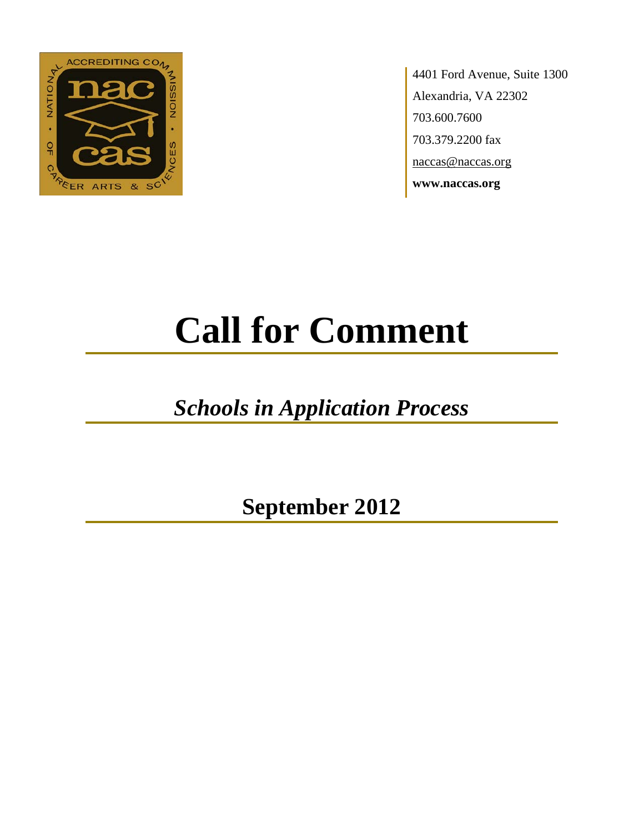

4401 Ford Avenue, Suite 1300 Alexandria, VA 22302 703.600.7600 703.379.2200 fax naccas@naccas.org **www.naccas.org**

# **Call for Comment**

## *Schools in Application Process*

**September 2012**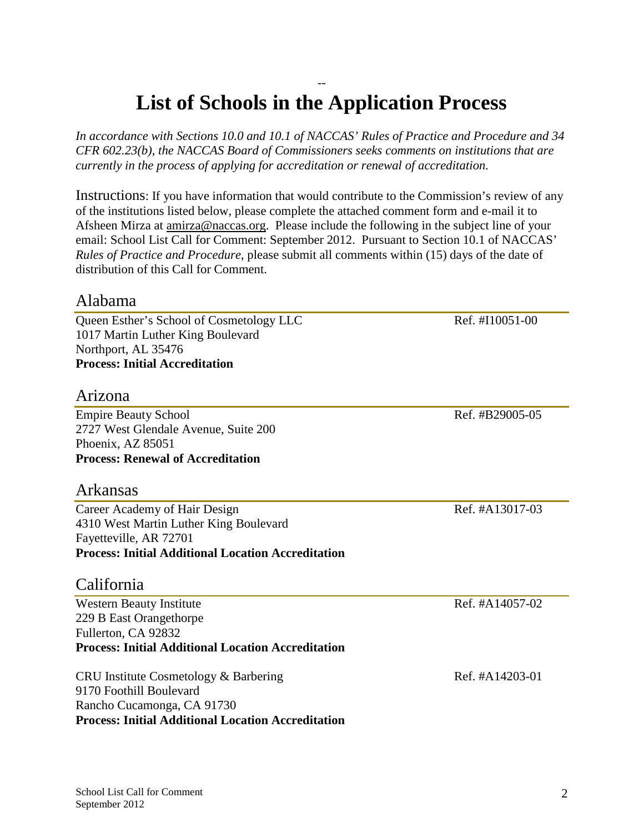#### -- **List of Schools in the Application Process**

*In accordance with Sections 10.0 and 10.1 of NACCAS' Rules of Practice and Procedure and 34 CFR 602.23(b), the NACCAS Board of Commissioners seeks comments on institutions that are currently in the process of applying for accreditation or renewal of accreditation.*

Instructions: If you have information that would contribute to the Commission's review of any of the institutions listed below, please complete the attached comment form and e-mail it to Afsheen Mirza at [amirza@naccas.org.](mailto:amirza@naccas.org) Please include the following in the subject line of your email: School List Call for Comment: September 2012. Pursuant to Section 10.1 of NACCAS' *Rules of Practice and Procedure*, please submit all comments within (15) days of the date of distribution of this Call for Comment.

#### Alabama

Queen Esther's School of Cosmetology LLC Ref. #I10051-00 1017 Martin Luther King Boulevard Northport, AL 35476 **Process: Initial Accreditation**

#### Arizona

Empire Beauty School and The Empire Beauty School and The Empire Beauty School and The Empire Beauty School and The Empire Beauty School and The Empire Beauty School and The Empire School and The Empire School and The Empi 2727 West Glendale Avenue, Suite 200 Phoenix, AZ 85051 **Process: Renewal of Accreditation**

#### Arkansas

Career Academy of Hair Design Ref. #A13017-03 4310 West Martin Luther King Boulevard Fayetteville, AR 72701 **Process: Initial Additional Location Accreditation**

#### California

Western Beauty Institute Ref. #A14057-02 229 B East Orangethorpe Fullerton, CA 92832 **Process: Initial Additional Location Accreditation**

CRU Institute Cosmetology & Barbering Ref. #A14203-01 9170 Foothill Boulevard Rancho Cucamonga, CA 91730 **Process: Initial Additional Location Accreditation**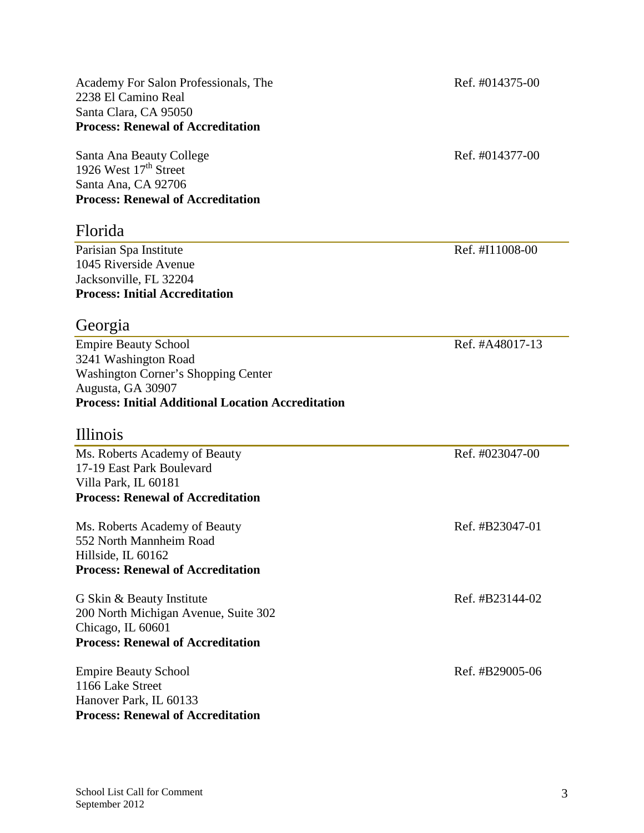Academy For Salon Professionals, The Ref. #014375-00 2238 El Camino Real Santa Clara, CA 95050 **Process: Renewal of Accreditation**

Santa Ana Beauty College Ref. #014377-00 1926 West  $17<sup>th</sup>$  Street Santa Ana, CA 92706 **Process: Renewal of Accreditation**

#### Florida

Parisian Spa Institute Ref. #I11008-00 1045 Riverside Avenue Jacksonville, FL 32204 **Process: Initial Accreditation**

#### Georgia

Empire Beauty School Ref. #A48017-13 3241 Washington Road Washington Corner's Shopping Center Augusta, GA 30907 **Process: Initial Additional Location Accreditation**

#### Illinois

Ms. Roberts Academy of Beauty Ref. #023047-00 17-19 East Park Boulevard Villa Park, IL 60181 **Process: Renewal of Accreditation**

Ms. Roberts Academy of Beauty Ref. #B23047-01 552 North Mannheim Road Hillside, IL 60162 **Process: Renewal of Accreditation**

G Skin & Beauty Institute Ref. #B23144-02 200 North Michigan Avenue, Suite 302 Chicago, IL 60601 **Process: Renewal of Accreditation**

Empire Beauty School Ref. #B29005-06 1166 Lake Street Hanover Park, IL 60133 **Process: Renewal of Accreditation**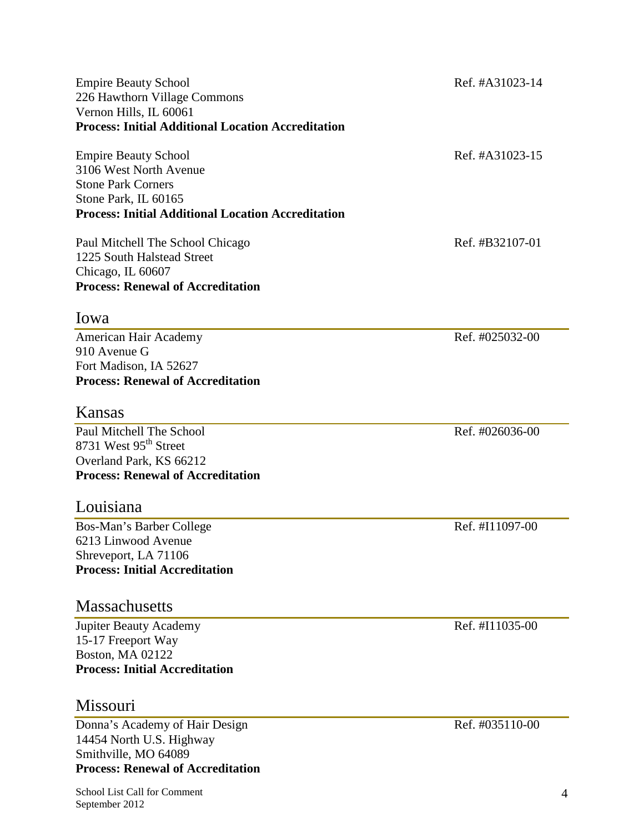| <b>Empire Beauty School</b><br>226 Hawthorn Village Commons<br>Vernon Hills, IL 60061<br><b>Process: Initial Additional Location Accreditation</b>                      | Ref. #A31023-14 |
|-------------------------------------------------------------------------------------------------------------------------------------------------------------------------|-----------------|
| <b>Empire Beauty School</b><br>3106 West North Avenue<br><b>Stone Park Corners</b><br>Stone Park, IL 60165<br><b>Process: Initial Additional Location Accreditation</b> | Ref. #A31023-15 |
| Paul Mitchell The School Chicago<br>1225 South Halstead Street<br>Chicago, IL 60607<br><b>Process: Renewal of Accreditation</b>                                         | Ref. #B32107-01 |
| Iowa                                                                                                                                                                    |                 |
| American Hair Academy<br>910 Avenue G<br>Fort Madison, IA 52627<br><b>Process: Renewal of Accreditation</b>                                                             | Ref. #025032-00 |
| Kansas                                                                                                                                                                  |                 |
| Paul Mitchell The School<br>8731 West 95 <sup>th</sup> Street<br>Overland Park, KS 66212<br><b>Process: Renewal of Accreditation</b><br>Louisiana                       | Ref. #026036-00 |
| Bos-Man's Barber College                                                                                                                                                | Ref. #I11097-00 |
| 6213 Linwood Avenue<br>Shreveport, LA 71106<br><b>Process: Initial Accreditation</b>                                                                                    |                 |
| <b>Massachusetts</b>                                                                                                                                                    |                 |
| <b>Jupiter Beauty Academy</b><br>15-17 Freeport Way<br><b>Boston, MA 02122</b><br><b>Process: Initial Accreditation</b>                                                 | Ref. #I11035-00 |
| Missouri                                                                                                                                                                |                 |
| Donna's Academy of Hair Design<br>14454 North U.S. Highway                                                                                                              | Ref. #035110-00 |

**Process: Renewal of Accreditation**

Smithville, MO 64089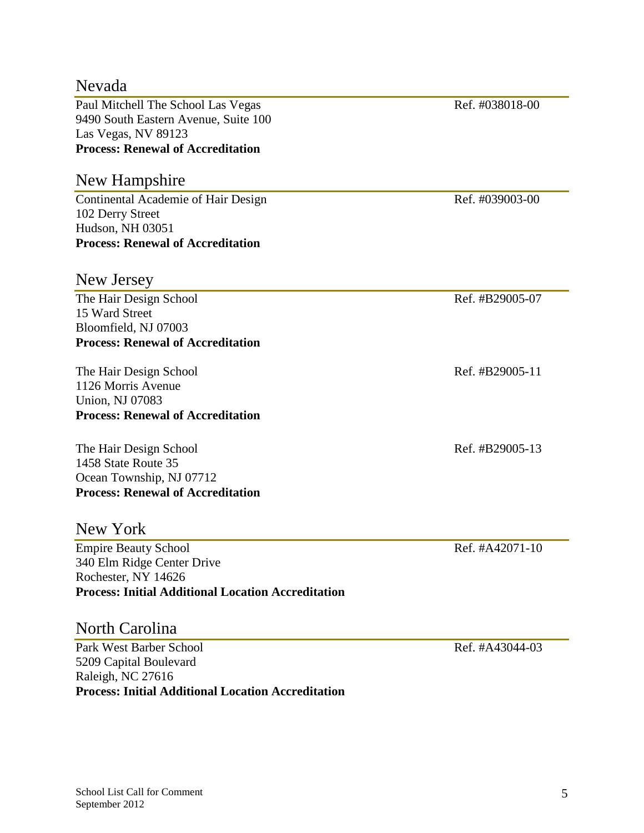| Nevada                                                    |                 |
|-----------------------------------------------------------|-----------------|
| Paul Mitchell The School Las Vegas                        | Ref. #038018-00 |
| 9490 South Eastern Avenue, Suite 100                      |                 |
| Las Vegas, NV 89123                                       |                 |
| <b>Process: Renewal of Accreditation</b>                  |                 |
| New Hampshire                                             |                 |
| <b>Continental Academie of Hair Design</b>                | Ref. #039003-00 |
| 102 Derry Street                                          |                 |
| Hudson, NH 03051                                          |                 |
| <b>Process: Renewal of Accreditation</b>                  |                 |
| New Jersey                                                |                 |
| The Hair Design School                                    | Ref. #B29005-07 |
| 15 Ward Street                                            |                 |
| Bloomfield, NJ 07003                                      |                 |
| <b>Process: Renewal of Accreditation</b>                  |                 |
| The Hair Design School                                    | Ref. #B29005-11 |
| 1126 Morris Avenue                                        |                 |
| Union, NJ 07083                                           |                 |
| <b>Process: Renewal of Accreditation</b>                  |                 |
| The Hair Design School                                    | Ref. #B29005-13 |
| 1458 State Route 35                                       |                 |
| Ocean Township, NJ 07712                                  |                 |
| <b>Process: Renewal of Accreditation</b>                  |                 |
| New York                                                  |                 |
| <b>Empire Beauty School</b>                               | Ref. #A42071-10 |
| 340 Elm Ridge Center Drive                                |                 |
| Rochester, NY 14626                                       |                 |
| <b>Process: Initial Additional Location Accreditation</b> |                 |
| North Carolina                                            |                 |
| Park West Barber School                                   | Ref. #A43044-03 |
|                                                           |                 |

5209 Capital Boulevard Raleigh, NC 27616 **Process: Initial Additional Location Accreditation**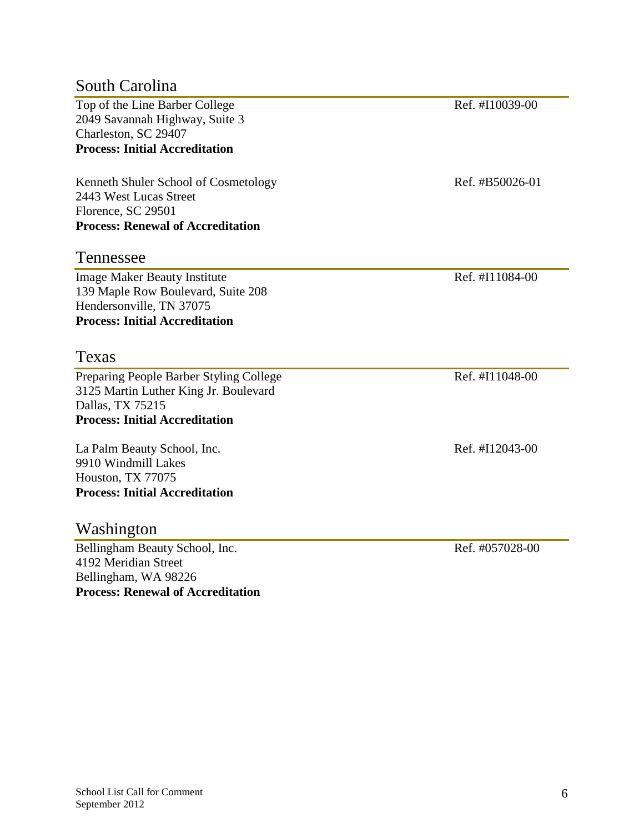#### South Carolina

Top of the Line Barber College Ref. #I10039-00 2049 Savannah Highway, Suite 3 Charleston, SC 29407 **Process: Initial Accreditation**

Kenneth Shuler School of Cosmetology Ref. #B50026-01 2443 West Lucas Street Florence, SC 29501 **Process: Renewal of Accreditation**

#### Tennessee

Image Maker Beauty Institute Ref. #I11084-00 139 Maple Row Boulevard, Suite 208 Hendersonville, TN 37075 **Process: Initial Accreditation**

#### Texas

Preparing People Barber Styling College Ref. #I11048-00 3125 Martin Luther King Jr. Boulevard Dallas, TX 75215 **Process: Initial Accreditation**

La Palm Beauty School, Inc. Ref. #I12043-00 9910 Windmill Lakes Houston, TX 77075 **Process: Initial Accreditation**

#### Washington

Bellingham Beauty School, Inc. Ref. #057028-00 4192 Meridian Street Bellingham, WA 98226 **Process: Renewal of Accreditation**